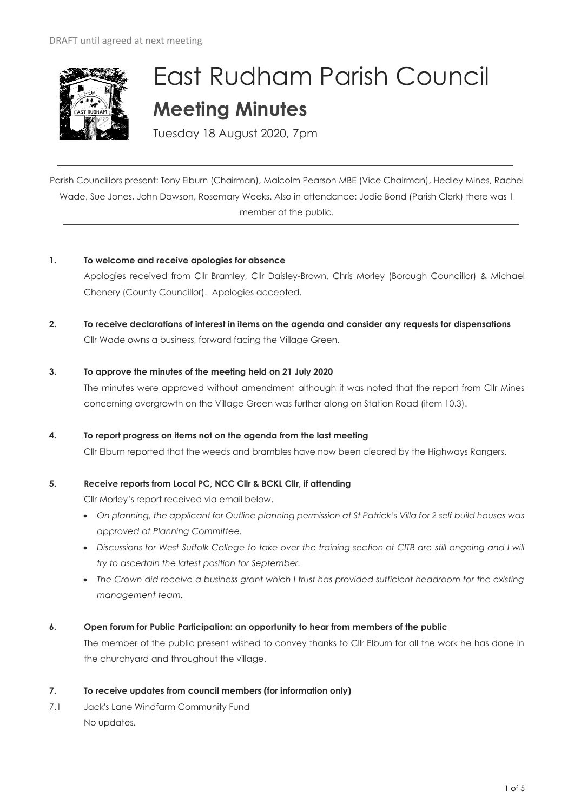

# East Rudham Parish Council **Meeting Minutes**

Tuesday 18 August 2020, 7pm

Parish Councillors present: Tony Elburn (Chairman), Malcolm Pearson MBE (Vice Chairman), Hedley Mines, Rachel Wade, Sue Jones, John Dawson, Rosemary Weeks. Also in attendance: Jodie Bond (Parish Clerk) there was 1 member of the public.

# **1. To welcome and receive apologies for absence**

Apologies received from Cllr Bramley, Cllr Daisley-Brown, Chris Morley (Borough Councillor) & Michael Chenery (County Councillor). Apologies accepted.

**2. To receive declarations of interest in items on the agenda and consider any requests for dispensations**  Cllr Wade owns a business, forward facing the Village Green.

#### **3. To approve the minutes of the meeting held on 21 July 2020**

The minutes were approved without amendment although it was noted that the report from Cllr Mines concerning overgrowth on the Village Green was further along on Station Road (item 10.3).

#### **4. To report progress on items not on the agenda from the last meeting**

Cllr Elburn reported that the weeds and brambles have now been cleared by the Highways Rangers.

# **5. Receive reports from Local PC, NCC Cllr & BCKL Cllr, if attending**

Cllr Morley's report received via email below.

- *On planning, the applicant for Outline planning permission at St Patrick's Villa for 2 self build houses was approved at Planning Committee.*
- *Discussions for West Suffolk College to take over the training section of CITB are still ongoing and I will try to ascertain the latest position for September.*
- *The Crown did receive a business grant which I trust has provided sufficient headroom for the existing management team.*
- **6. Open forum for Public Participation: an opportunity to hear from members of the public**

The member of the public present wished to convey thanks to Cllr Elburn for all the work he has done in the churchyard and throughout the village.

#### **7. To receive updates from council members (for information only)**

7.1 Jack's Lane Windfarm Community Fund No updates.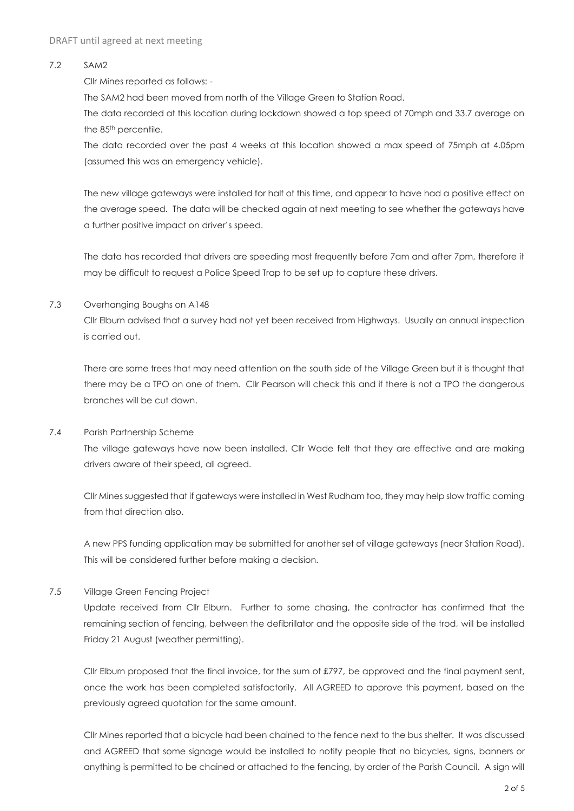#### 7.2 SAM2

Cllr Mines reported as follows: -

The SAM2 had been moved from north of the Village Green to Station Road.

The data recorded at this location during lockdown showed a top speed of 70mph and 33.7 average on the 85<sup>th</sup> percentile.

The data recorded over the past 4 weeks at this location showed a max speed of 75mph at 4.05pm (assumed this was an emergency vehicle).

The new village gateways were installed for half of this time, and appear to have had a positive effect on the average speed. The data will be checked again at next meeting to see whether the gateways have a further positive impact on driver's speed.

The data has recorded that drivers are speeding most frequently before 7am and after 7pm, therefore it may be difficult to request a Police Speed Trap to be set up to capture these drivers.

#### 7.3 Overhanging Boughs on A148

Cllr Elburn advised that a survey had not yet been received from Highways. Usually an annual inspection is carried out.

There are some trees that may need attention on the south side of the Village Green but it is thought that there may be a TPO on one of them. Cllr Pearson will check this and if there is not a TPO the dangerous branches will be cut down.

# 7.4 Parish Partnership Scheme

The village gateways have now been installed. Cllr Wade felt that they are effective and are making drivers aware of their speed, all agreed.

Cllr Mines suggested that if gateways were installed in West Rudham too, they may help slow traffic coming from that direction also.

A new PPS funding application may be submitted for another set of village gateways (near Station Road). This will be considered further before making a decision.

# 7.5 Village Green Fencing Project

Update received from Cllr Elburn. Further to some chasing, the contractor has confirmed that the remaining section of fencing, between the defibrillator and the opposite side of the trod, will be installed Friday 21 August (weather permitting).

Cllr Elburn proposed that the final invoice, for the sum of £797, be approved and the final payment sent, once the work has been completed satisfactorily. All AGREED to approve this payment, based on the previously agreed quotation for the same amount.

Cllr Mines reported that a bicycle had been chained to the fence next to the bus shelter. It was discussed and AGREED that some signage would be installed to notify people that no bicycles, signs, banners or anything is permitted to be chained or attached to the fencing, by order of the Parish Council. A sign will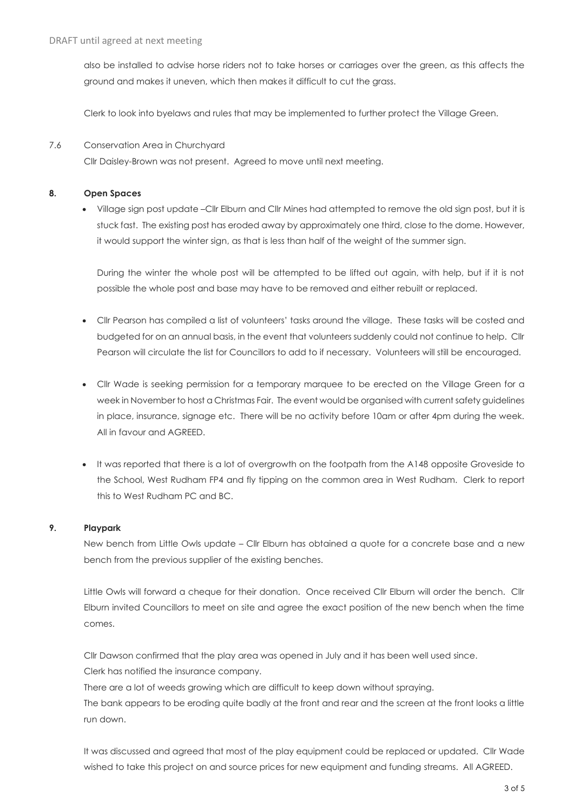also be installed to advise horse riders not to take horses or carriages over the green, as this affects the ground and makes it uneven, which then makes it difficult to cut the grass.

Clerk to look into byelaws and rules that may be implemented to further protect the Village Green.

#### 7.6 Conservation Area in Churchyard

Cllr Daisley-Brown was not present. Agreed to move until next meeting.

#### **8. Open Spaces**

• Village sign post update –Cllr Elburn and Cllr Mines had attempted to remove the old sign post, but it is stuck fast. The existing post has eroded away by approximately one third, close to the dome. However, it would support the winter sign, as that is less than half of the weight of the summer sign.

During the winter the whole post will be attempted to be lifted out again, with help, but if it is not possible the whole post and base may have to be removed and either rebuilt or replaced.

- Cllr Pearson has compiled a list of volunteers' tasks around the village. These tasks will be costed and budgeted for on an annual basis, in the event that volunteers suddenly could not continue to help. Cllr Pearson will circulate the list for Councillors to add to if necessary. Volunteers will still be encouraged.
- Cllr Wade is seeking permission for a temporary marquee to be erected on the Village Green for a week in November to host a Christmas Fair. The event would be organised with current safety guidelines in place, insurance, signage etc. There will be no activity before 10am or after 4pm during the week. All in favour and AGREED.
- It was reported that there is a lot of overgrowth on the footpath from the A148 opposite Groveside to the School, West Rudham FP4 and fly tipping on the common area in West Rudham. Clerk to report this to West Rudham PC and BC.

# **9. Playpark**

New bench from Little Owls update – Cllr Elburn has obtained a quote for a concrete base and a new bench from the previous supplier of the existing benches.

Little Owls will forward a cheque for their donation. Once received Cllr Elburn will order the bench. Cllr Elburn invited Councillors to meet on site and agree the exact position of the new bench when the time comes.

Cllr Dawson confirmed that the play area was opened in July and it has been well used since. Clerk has notified the insurance company.

There are a lot of weeds growing which are difficult to keep down without spraying.

The bank appears to be eroding quite badly at the front and rear and the screen at the front looks a little run down.

It was discussed and agreed that most of the play equipment could be replaced or updated. Cllr Wade wished to take this project on and source prices for new equipment and funding streams. All AGREED.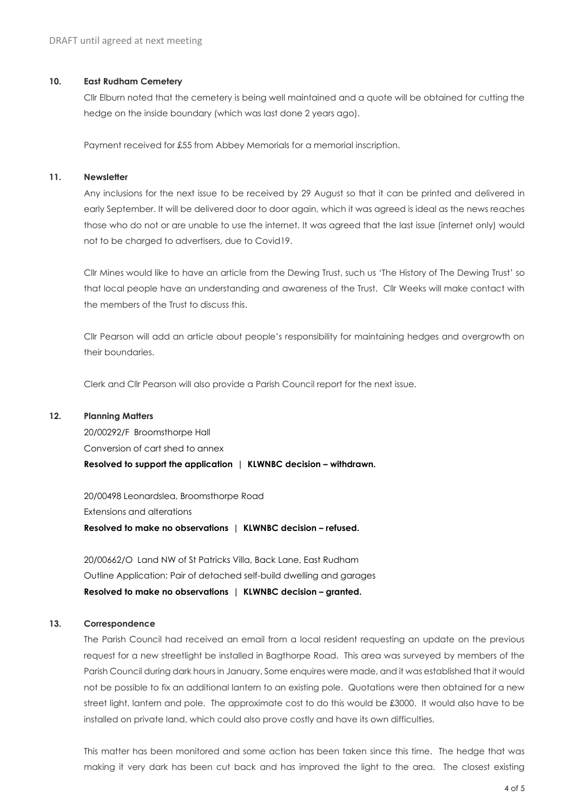#### **10. East Rudham Cemetery**

Cllr Elburn noted that the cemetery is being well maintained and a quote will be obtained for cutting the hedge on the inside boundary (which was last done 2 years ago).

Payment received for £55 from Abbey Memorials for a memorial inscription.

#### **11. Newsletter**

Any inclusions for the next issue to be received by 29 August so that it can be printed and delivered in early September. It will be delivered door to door again, which it was agreed is ideal as the news reaches those who do not or are unable to use the internet. It was agreed that the last issue (internet only) would not to be charged to advertisers, due to Covid19.

Cllr Mines would like to have an article from the Dewing Trust, such us 'The History of The Dewing Trust' so that local people have an understanding and awareness of the Trust. Cllr Weeks will make contact with the members of the Trust to discuss this.

Cllr Pearson will add an article about people's responsibility for maintaining hedges and overgrowth on their boundaries.

Clerk and Cllr Pearson will also provide a Parish Council report for the next issue.

#### **12. Planning Matters**

20/00292/F Broomsthorpe Hall Conversion of cart shed to annex **Resolved to support the application | KLWNBC decision - withdrawn.** 

20/00498 Leonardslea, Broomsthorpe Road Extensions and alterations **Resolved to make no observations | KLWNBC decision – refused.**

20/00662/O Land NW of St Patricks Villa, Back Lane, East Rudham Outline Application: Pair of detached self-build dwelling and garages **Resolved to make no observations | KLWNBC decision – granted.**

#### **13. Correspondence**

The Parish Council had received an email from a local resident requesting an update on the previous request for a new streetlight be installed in Bagthorpe Road. This area was surveyed by members of the Parish Council during dark hours in January. Some enquires were made, and it was established that it would not be possible to fix an additional lantern to an existing pole. Quotations were then obtained for a new street light, lantern and pole. The approximate cost to do this would be £3000. It would also have to be installed on private land, which could also prove costly and have its own difficulties.

This matter has been monitored and some action has been taken since this time. The hedge that was making it very dark has been cut back and has improved the light to the area. The closest existing